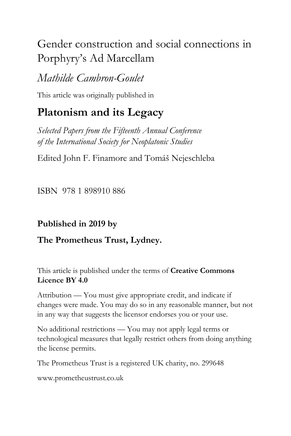# Gender construction and social connections in Porphyry's Ad Marcellam

# *Mathilde Cambron-Goulet*

This article was originally published in

# **Platonism and its Legacy**

*Selected Papers from the Fifteenth Annual Conference of the International Society for Neoplatonic Studies*

Edited John F. Finamore and Tomáš Nejeschleba

ISBN 978 1 898910 886

# **Published in 2019 by**

# **The Prometheus Trust, Lydney.**

This article is published under the terms of **Creative Commons Licence BY 4.0**

Attribution — You must give appropriate credit, and indicate if changes were made. You may do so in any reasonable manner, but not in any way that suggests the licensor endorses you or your use.

No additional restrictions — You may not apply legal terms or technological measures that legally restrict others from doing anything the license permits.

The Prometheus Trust is a registered UK charity, no. 299648

[www.prometheustrust.co.uk](http://www.prometheustrust.co.uk/)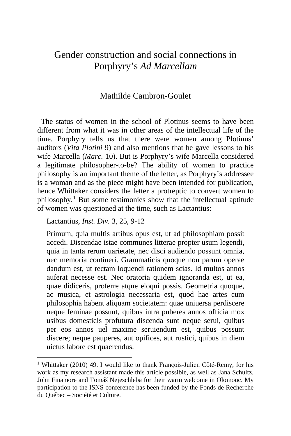# Gender construction and social connections in Porphyry's *Ad Marcellam*

## Mathilde Cambron-Goulet

 The status of women in the school of Plotinus seems to have been different from what it was in other areas of the intellectual life of the time. Porphyry tells us that there were women among Plotinus' auditors (*Vita Plotini* 9) and also mentions that he gave lessons to his wife Marcella (*Marc.* 10). But is Porphyry's wife Marcella considered a legitimate philosopher-to-be? The ability of women to practice philosophy is an important theme of the letter, as Porphyry's addressee is a woman and as the piece might have been intended for publication, hence Whittaker considers the letter a protreptic to convert women to philosophy.[1](#page-1-0) But some testimonies show that the intellectual aptitude of women was questioned at the time, such as Lactantius:

Lactantius, *Inst. Div.* 3, 25, 9-12

Primum, quia multis artibus opus est, ut ad philosophiam possit accedi. Discendae istae communes litterae propter usum legendi, quia in tanta rerum uarietate, nec disci audiendo possunt omnia, nec memoria contineri. Grammaticis quoque non parum operae dandum est, ut rectam loquendi rationem scias. Id multos annos auferat necesse est. Nec oratoria quidem ignoranda est, ut ea, quae didiceris, proferre atque eloqui possis. Geometria quoque, ac musica, et astrologia necessaria est, quod hae artes cum philosophia habent aliquam societatem: quae uniuersa perdiscere neque feminae possunt, quibus intra puberes annos officia mox usibus domesticis profutura discenda sunt neque serui, quibus per eos annos uel maxime seruiendum est, quibus possunt discere; neque pauperes, aut opifices, aut rustici, quibus in diem uictus labore est quaerendus.

<span id="page-1-0"></span><sup>&</sup>lt;sup>1</sup> Whittaker (2010) 49. I would like to thank François-Julien Côté-Remy, for his work as my research assistant made this article possible, as well as Jana Schultz, John Finamore and Tomáš Nejeschleba for their warm welcome in Olomouc. My participation to the ISNS conference has been funded by the Fonds de Recherche du Québec – Société et Culture.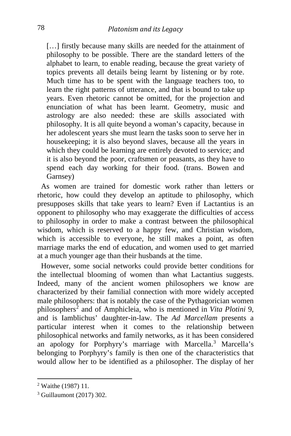[...] firstly because many skills are needed for the attainment of philosophy to be possible. There are the standard letters of the alphabet to learn, to enable reading, because the great variety of topics prevents all details being learnt by listening or by rote. Much time has to be spent with the language teachers too, to learn the right patterns of utterance, and that is bound to take up years. Even rhetoric cannot be omitted, for the projection and enunciation of what has been learnt. Geometry, music and astrology are also needed: these are skills associated with philosophy. It is all quite beyond a woman's capacity, because in her adolescent years she must learn the tasks soon to serve her in housekeeping; it is also beyond slaves, because all the years in which they could be learning are entirely devoted to service; and it is also beyond the poor, craftsmen or peasants, as they have to spend each day working for their food. (trans. Bowen and Garnsey)

 As women are trained for domestic work rather than letters or rhetoric, how could they develop an aptitude to philosophy, which presupposes skills that take years to learn? Even if Lactantius is an opponent to philosophy who may exaggerate the difficulties of access to philosophy in order to make a contrast between the philosophical wisdom, which is reserved to a happy few, and Christian wisdom, which is accessible to everyone, he still makes a point, as often marriage marks the end of education, and women used to get married at a much younger age than their husbands at the time.

 However, some social networks could provide better conditions for the intellectual blooming of women than what Lactantius suggests. Indeed, many of the ancient women philosophers we know are characterized by their familial connection with more widely accepted male philosophers: that is notably the case of the Pythagorician women philosophers[2](#page-2-0) and of Amphicleia, who is mentioned in *Vita Plotini* 9, and is Iamblichus' daughter-in-law. The *Ad Marcellam* presents a particular interest when it comes to the relationship between philosophical networks and family networks, as it has been considered an apology for Porphyry's marriage with Marcella.<sup>[3](#page-2-1)</sup> Marcella's belonging to Porphyry's family is then one of the characteristics that would allow her to be identified as a philosopher. The display of her

<span id="page-2-0"></span><sup>2</sup> Waithe (1987) 11.

<span id="page-2-1"></span><sup>3</sup> Guillaumont (2017) 302.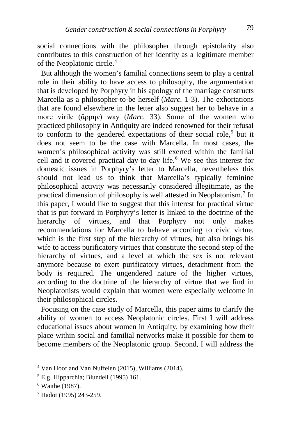social connections with the philosopher through epistolarity also contributes to this construction of her identity as a legitimate member of the Neoplatonic circle.[4](#page-3-0)

 But although the women's familial connections seem to play a central role in their ability to have access to philosophy, the argumentation that is developed by Porphyry in his apology of the marriage constructs Marcella as a philosopher-to-be herself (*Marc.* 1-3). The exhortations that are found elsewhere in the letter also suggest her to behave in a more virile (ἄρρην) way (*Marc.* 33). Some of the women who practiced philosophy in Antiquity are indeed renowned for their refusal to conform to the gendered expectations of their social role,<sup>[5](#page-3-1)</sup> but it does not seem to be the case with Marcella. In most cases, the women's philosophical activity was still exerted within the familial cell and it covered practical day-to-day life.[6](#page-3-2) We see this interest for domestic issues in Porphyry's letter to Marcella, nevertheless this should not lead us to think that Marcella's typically feminine philosophical activity was necessarily considered illegitimate, as the practical dimension of philosophy is well attested in Neoplatonism.[7](#page-3-3) In this paper, I would like to suggest that this interest for practical virtue that is put forward in Porphyry's letter is linked to the doctrine of the hierarchy of virtues, and that Porphyry not only makes hierarchy of virtues, and that Porphyry not only makes recommendations for Marcella to behave according to civic virtue, which is the first step of the hierarchy of virtues, but also brings his wife to access purificatory virtues that constitute the second step of the hierarchy of virtues, and a level at which the sex is not relevant anymore because to exert purificatory virtues, detachment from the body is required. The ungendered nature of the higher virtues, according to the doctrine of the hierarchy of virtue that we find in Neoplatonists would explain that women were especially welcome in their philosophical circles.

 Focusing on the case study of Marcella, this paper aims to clarify the ability of women to access Neoplatonic circles. First I will address educational issues about women in Antiquity, by examining how their place within social and familial networks make it possible for them to become members of the Neoplatonic group. Second, I will address the

<span id="page-3-0"></span><sup>4</sup> Van Hoof and Van Nuffelen (2015), Williams (2014).

<span id="page-3-1"></span><sup>5</sup> E.g. Hipparchia; Blundell (1995) 161.

<span id="page-3-2"></span><sup>6</sup> Waithe (1987).

<span id="page-3-3"></span><sup>7</sup> Hadot (1995) 243-259.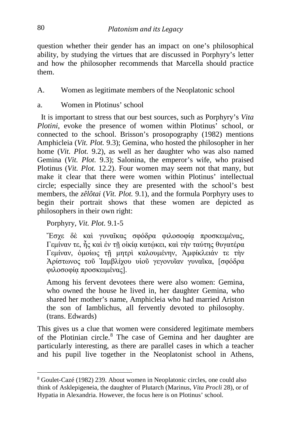question whether their gender has an impact on one's philosophical ability, by studying the virtues that are discussed in Porphyry's letter and how the philosopher recommends that Marcella should practice them.

- A. Women as legitimate members of the Neoplatonic school
- a. Women in Plotinus' school

 It is important to stress that our best sources, such as Porphyry's *Vita Plotini*, evoke the presence of women within Plotinus<sup>5</sup> school, or connected to the school. Brisson's prosopography (1982) mentions Amphicleia (*Vit. Plot.* 9.3); Gemina, who hosted the philosopher in her home (*Vit. Plot.* 9.2), as well as her daughter who was also named Gemina (*Vit. Plot.* 9.3); Salonina, the emperor's wife, who praised Plotinus (*Vit. Plot.* 12.2). Four women may seem not that many, but make it clear that there were women within Plotinus' intellectual circle; especially since they are presented with the school's best members, the *zêlôtai* (*Vit. Plot.* 9.1), and the formula Porphyry uses to begin their portrait shows that these women are depicted as philosophers in their own right:

Porphyry, *Vit. Plot.* 9.1-5

Ἔσχε δὲ καὶ γυναῖκας σφόδρα φιλοσοφίᾳ προσκειμένας, Γεμίναν τε, ἧς καὶ ἐν τῆ οἰκία κατώκει, καὶ τὴν ταύτης θυγατέρα Γεμίναν, ὁμοίως τῇ μητρὶ καλουμένην, Ἀμφίκλειάν τε τὴν Ἀρίστωνος τοῦ Ἰαμβλίχου υἱοῦ γεγονυῖαν γυναῖκα, [σφόδρα φιλοσοφίᾳ προσκειμένας].

Among his fervent devotees there were also women: Gemina, who owned the house he lived in, her daughter Gemina, who shared her mother's name, Amphicleia who had married Ariston the son of Iamblichus, all fervently devoted to philosophy. (trans. Edwards)

This gives us a clue that women were considered legitimate members of the Plotinian circle.[8](#page-4-0) The case of Gemina and her daughter are particularly interesting, as there are parallel cases in which a teacher and his pupil live together in the Neoplatonist school in Athens,

<span id="page-4-0"></span><sup>8</sup> Goulet-Cazé (1982) 239. About women in Neoplatonic circles, one could also think of Asklepigeneia, the daughter of Plutarch (Marinus, *Vita Procli* 28), or of Hypatia in Alexandria. However, the focus here is on Plotinus' school.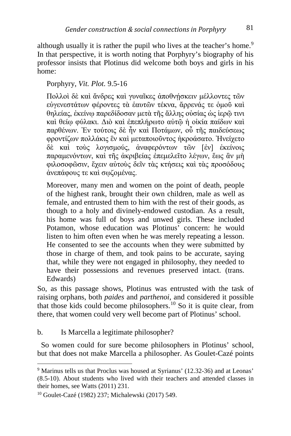although usually it is rather the pupil who lives at the teacher's home.<sup>[9](#page-5-0)</sup> In that perspective, it is worth noting that Porphyry's biography of his professor insists that Plotinus did welcome both boys and girls in his home:

# Porphyry, *Vit. Plot.* 9.5-16

Πολλοί δε και ἄνδρες και γυναΐκες ἀποθνήσκειν μέλλοντες τῶν εὐγενεστάτων φέροντες τὰ ἑαυτῶν τέκνα, ἄρρενάς τε ὁμοῦ καὶ θηλείας, ἐκείνῳ παρεδίδοσαν μετὰ τῆς ἄλλης οὐσίας ὡς ἱερῷ τινι καὶ θείῳ φύλακι. Διὸ καὶ ἐπεπλήρωτο αὐτῷ ἡ οἰκία παίδων καὶ παρθένων. Ἐν τούτοις δὲ ἦν καὶ Ποτάμων, οὗ τῆς παιδεύσεως φροντίζων πολλάκις ἓν καὶ μεταποιοῦντος ἠκροάσατο. Ἠνείχετο δὲ καὶ τοὺς λογισμούς, ἀναφερόντων τῶν [ἐν] ἐκείνοις παραμενόντων, καὶ τῆς ἀκριβείας ἐπεμελεῖτο λέγων, ἕως ἂν μὴ φιλοσοφῶσιν, ἔχειν αὐτοὺς δεῖν τὰς κτήσεις καὶ τὰς προσόδους ἀνεπάφους τε καὶ σῳζομένας.

Moreover, many men and women on the point of death, people of the highest rank, brought their own children, male as well as female, and entrusted them to him with the rest of their goods, as though to a holy and divinely-endowed custodian. As a result, his home was full of boys and unwed girls. These included Potamon, whose education was Plotinus' concern: he would listen to him often even when he was merely repeating a lesson. He consented to see the accounts when they were submitted by those in charge of them, and took pains to be accurate, saying that, while they were not engaged in philosophy, they needed to have their possessions and revenues preserved intact. (trans. Edwards)

So, as this passage shows, Plotinus was entrusted with the task of raising orphans, both *paides* and *parthenoi*, and considered it possible that those kids could become philosophers.[10](#page-5-1) So it is quite clear, from there, that women could very well become part of Plotinus' school.

## b. Is Marcella a legitimate philosopher?

 So women could for sure become philosophers in Plotinus' school, but that does not make Marcella a philosopher. As Goulet-Cazé points

<span id="page-5-0"></span><sup>9</sup> Marinus tells us that Proclus was housed at Syrianus' (12.32-36) and at Leonas' (8.5-10). About students who lived with their teachers and attended classes in their homes, see Watts (2011) 231.

<span id="page-5-1"></span><sup>10</sup> Goulet-Cazé (1982) 237; Michalewski (2017) 549.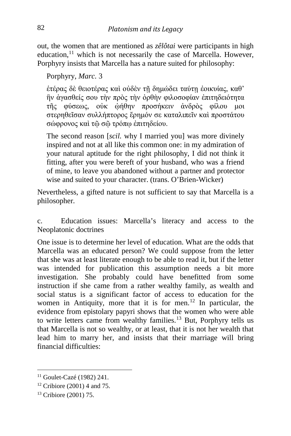out, the women that are mentioned as *zêlôtai* were participants in high education, $11$  which is not necessarily the case of Marcella. However, Porphyry insists that Marcella has a nature suited for philosophy:

Porphyry, *Marc.* 3

ἑτέρας δὲ θειοτέρας καὶ οὐδὲν τῇ δημώδει ταύτῃ ἐοικυίας, καθ' ἣν ἀγασθείς σου τὴν πρὸς τὴν ὀρθὴν φιλοσοφίαν ἐπιτηδειότητα τῆς φύσεως, οὐκ ᾠήθην προσήκειν ἀνδρὸς φίλου μοι στερηθεῖσαν συλλήπτορος ἔρημόν σε καταλιπεῖν καὶ προστάτου σώφρονος καὶ τῷ σῷ τρόπῳ ἐπιτηδείου.

The second reason [*scil.* why I married you] was more divinely inspired and not at all like this common one: in my admiration of your natural aptitude for the right philosophy, I did not think it fitting, after you were bereft of your husband, who was a friend of mine, to leave you abandoned without a partner and protector wise and suited to your character. (trans. O'Brien-Wicker)

Nevertheless, a gifted nature is not sufficient to say that Marcella is a philosopher.

c. Education issues: Marcella's literacy and access to the Neoplatonic doctrines

One issue is to determine her level of education. What are the odds that Marcella was an educated person? We could suppose from the letter that she was at least literate enough to be able to read it, but if the letter was intended for publication this assumption needs a bit more investigation. She probably could have benefitted from some instruction if she came from a rather wealthy family, as wealth and social status is a significant factor of access to education for the women in Antiquity, more that it is for men.<sup>[12](#page-6-1)</sup> In particular, the evidence from epistolary papyri shows that the women who were able to write letters came from wealthy families.[13](#page-6-2) But, Porphyry tells us that Marcella is not so wealthy, or at least, that it is not her wealth that lead him to marry her, and insists that their marriage will bring financial difficulties:

<span id="page-6-0"></span><sup>11</sup> Goulet-Cazé (1982) 241.

<span id="page-6-1"></span><sup>12</sup> Cribiore (2001) 4 and 75.

<span id="page-6-2"></span><sup>13</sup> Cribiore (2001) 75.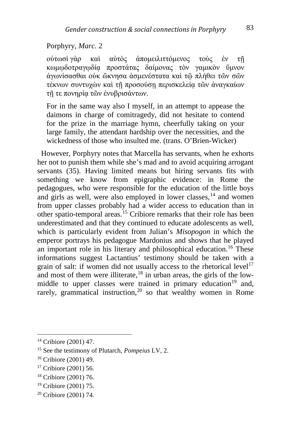#### Porphyry, *Marc.* 2

οὑτωσὶ γὰρ καὶ αὐτὸς ἀπομειλιττόμενος τοὺς ἐν τῇ κωμῳδοτραγῳδίᾳ προστάτας δαίμονας τὸν γαμικὸν ὕμνον ἀγωνίσασθαι οὐκ ὤκνησα ἀσμενέστατα καὶ τῷ πλήθει τῶν σῶν τέκνων συντυχὼν καὶ τῇ προσούσῃ περισκελείᾳ τῶν ἀναγκαίων τῇ τε πονηρίᾳ τῶν ἐνυβρισάντων.

For in the same way also I myself, in an attempt to appease the daimons in charge of comitragedy, did not hesitate to contend for the prize in the marriage hymn, cheerfully taking on your large family, the attendant hardship over the necessities, and the wickedness of those who insulted me. (trans. O'Brien-Wicker)

 However, Porphyry notes that Marcella has servants, when he exhorts her not to punish them while she's mad and to avoid acquiring arrogant servants (35). Having limited means but hiring servants fits with something we know from epigraphic evidence: in Rome the pedagogues, who were responsible for the education of the little boys and girls as well, were also employed in lower classes, $<sup>14</sup>$  $<sup>14</sup>$  $<sup>14</sup>$  and women</sup> from upper classes probably had a wider access to education than in other spatio-temporal areas.[15](#page-7-1) Cribiore remarks that their role has been underestimated and that they continued to educate adolescents as well, which is particularly evident from Julian's *Misopogon* in which the emperor portrays his pedagogue Mardonius and shows that he played an important role in his literary and philosophical education.<sup>[16](#page-7-2)</sup> These informations suggest Lactantius' testimony should be taken with a grain of salt: if women did not usually access to the rhetorical level<sup>[17](#page-7-3)</sup> and most of them were illiterate, $18$  in urban areas, the girls of the low-middle to upper classes were trained in primary education<sup>[19](#page-7-5)</sup> and, rarely, grammatical instruction,<sup>[20](#page-7-6)</sup> so that wealthy women in Rome

<span id="page-7-0"></span><sup>14</sup> Cribiore (2001) 47.

<span id="page-7-1"></span><sup>15</sup> See the testimony of Plutarch, *Pompeius* LV, 2.

<span id="page-7-2"></span><sup>16</sup> Cribiore (2001) 49.

<span id="page-7-3"></span><sup>17</sup> Cribiore (2001) 56.

<span id="page-7-4"></span><sup>18</sup> Cribiore (2001) 76.

<span id="page-7-5"></span><sup>19</sup> Cribiore (2001) 75.

<span id="page-7-6"></span><sup>20</sup> Cribiore (2001) 74.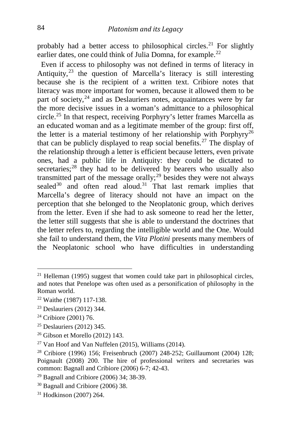probably had a better access to philosophical circles.<sup>[21](#page-8-0)</sup> For slightly earlier dates, one could think of Julia Domna, for example.<sup>[22](#page-8-1)</sup>

 Even if access to philosophy was not defined in terms of literacy in Antiquity,[23](#page-8-2) the question of Marcella's literacy is still interesting because she is the recipient of a written text. Cribiore notes that literacy was more important for women, because it allowed them to be part of society,<sup>[24](#page-8-3)</sup> and as Deslauriers notes, acquaintances were by far the more decisive issues in a woman's admittance to a philosophical circle.[25](#page-8-4) In that respect, receiving Porphyry's letter frames Marcella as an educated woman and as a legitimate member of the group: first off, the letter is a material testimony of her relationship with Porphyry<sup>[26](#page-8-5)</sup> that can be publicly displayed to reap social benefits.<sup>[27](#page-8-6)</sup> The display of the relationship through a letter is efficient because letters, even private ones, had a public life in Antiquity: they could be dictated to secretaries; $^{28}$  $^{28}$  $^{28}$  they had to be delivered by bearers who usually also transmitted part of the message orally; $^{29}$  $^{29}$  $^{29}$  besides they were not always sealed<sup>[30](#page-8-9)</sup> and often read aloud.<sup>[31](#page-8-10)</sup> That last remark implies that Marcella's degree of literacy should not have an impact on the perception that she belonged to the Neoplatonic group, which derives from the letter. Even if she had to ask someone to read her the letter, the letter still suggests that she is able to understand the doctrines that the letter refers to, regarding the intelligible world and the One. Would she fail to understand them, the *Vita Plotini* presents many members of the Neoplatonic school who have difficulties in understanding

<span id="page-8-4"></span><sup>25</sup> Deslauriers (2012) 345.

<span id="page-8-0"></span> $21$  Helleman (1995) suggest that women could take part in philosophical circles, and notes that Penelope was often used as a personification of philosophy in the Roman world.

<span id="page-8-1"></span><sup>22</sup> Waithe (1987) 117-138.

<span id="page-8-2"></span><sup>23</sup> Deslauriers (2012) 344.

<span id="page-8-3"></span><sup>24</sup> Cribiore (2001) 76.

<span id="page-8-5"></span><sup>26</sup> Gibson et Morello (2012) 143.

<span id="page-8-6"></span><sup>27</sup> Van Hoof and Van Nuffelen (2015), Williams (2014).

<span id="page-8-7"></span><sup>28</sup> Cribiore (1996) 156; Freisenbruch (2007) 248-252; Guillaumont (2004) 128; Poignault (2008) 200. The hire of professional writers and secretaries was common: Bagnall and Cribiore (2006) 6-7; 42-43.

<span id="page-8-8"></span><sup>29</sup> Bagnall and Cribiore (2006) 34; 38-39.

<span id="page-8-9"></span><sup>30</sup> Bagnall and Cribiore (2006) 38.

<span id="page-8-10"></span><sup>31</sup> Hodkinson (2007) 264.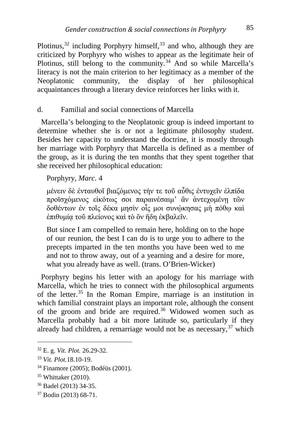Plotinus, $32$  including Porphyry himself, $33$  and who, although they are criticized by Porphyry who wishes to appear as the legitimate heir of Plotinus, still belong to the community.<sup>[34](#page-9-2)</sup> And so while Marcella's literacy is not the main criterion to her legitimacy as a member of the Neoplatonic community, the display of her philosophical acquaintances through a literary device reinforces her links with it.

#### d. Familial and social connections of Marcella

 Marcella's belonging to the Neoplatonic group is indeed important to determine whether she is or not a legitimate philosophy student. Besides her capacity to understand the doctrine, it is mostly through her marriage with Porphyry that Marcella is defined as a member of the group, as it is during the ten months that they spent together that she received her philosophical education:

#### Porphyry, *Marc.* 4

μένειν δὲ ἐνταυθοῖ βιαζόμενος τήν τε τοῦ αὖθις ἐντυχεῖν ἐλπίδα .<br>προϊσγόμενος εἰκότως σοι παραινέσαιμ' ἂν ἀντεχομένῃ τῶν δοθέντων ἐν τοῖς δέκα μησὶν οἶς μοι συνώκησας μὴ πόθω καὶ ἐπιθυμίᾳ τοῦ πλείονος καὶ τὸ ὂν ἤδη ἐκβαλεῖν.

But since I am compelled to remain here, holding on to the hope of our reunion, the best I can do is to urge you to adhere to the precepts imparted in the ten months you have been wed to me and not to throw away, out of a yearning and a desire for more, what you already have as well. (trans. O'Brien-Wicker)

 Porphyry begins his letter with an apology for his marriage with Marcella, which he tries to connect with the philosophical arguments of the letter.[35](#page-9-3) In the Roman Empire, marriage is an institution in which familial constraint plays an important role, although the consent of the groom and bride are required.<sup>[36](#page-9-4)</sup> Widowed women such as Marcella probably had a bit more latitude so, particularly if they already had children, a remarriage would not be as necessary,  $37$  which

<span id="page-9-0"></span><sup>32</sup> E. g. *Vit. Plot.* 26.29-32.

<span id="page-9-1"></span><sup>33</sup> *Vit. Plot.*18.10-19.

<span id="page-9-2"></span><sup>34</sup> Finamore (2005); Bodéüs (2001).

<span id="page-9-3"></span><sup>35</sup> Whittaker (2010).

<span id="page-9-4"></span><sup>36</sup> Badel (2013) 34-35.

<span id="page-9-5"></span><sup>37</sup> Bodin (2013) 68-71.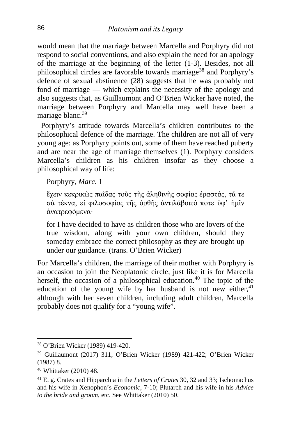would mean that the marriage between Marcella and Porphyry did not respond to social conventions, and also explain the need for an apology of the marriage at the beginning of the letter (1-3). Besides, not all philosophical circles are favorable towards marriage[38](#page-10-0) and Porphyry's defence of sexual abstinence (28) suggests that he was probably not fond of marriage — which explains the necessity of the apology and also suggests that, as Guillaumont and O'Brien Wicker have noted, the marriage between Porphyry and Marcella may well have been a mariage blanc.<sup>[39](#page-10-1)</sup>

 Porphyry's attitude towards Marcella's children contributes to the philosophical defence of the marriage. The children are not all of very young age: as Porphyry points out, some of them have reached puberty and are near the age of marriage themselves (1). Porphyry considers Marcella's children as his children insofar as they choose a philosophical way of life:

Porphyry, *Marc.* 1

ἔχειν κεκρικὼς παῖδας τοὺς τῆς ἀληθινῆς σοφίας ἐραστάς, τά τε σὰ τέκνα, εἰ φιλοσοφίας τῆς ὀρθῆς ἀντιλάβοιτό ποτε ὑφ' ἡμῖν ἀνατρεφόμενα·

for I have decided to have as children those who are lovers of the true wisdom, along with your own children, should they someday embrace the correct philosophy as they are brought up under our guidance. (trans. O'Brien Wicker)

For Marcella's children, the marriage of their mother with Porphyry is an occasion to join the Neoplatonic circle, just like it is for Marcella herself, the occasion of a philosophical education.<sup>[40](#page-10-2)</sup> The topic of the education of the young wife by her husband is not new either,  $41$ although with her seven children, including adult children, Marcella probably does not qualify for a "young wife".

<span id="page-10-0"></span><sup>38</sup> O'Brien Wicker (1989) 419-420.

<span id="page-10-1"></span><sup>39</sup> Guillaumont (2017) 311; O'Brien Wicker (1989) 421-422; O'Brien Wicker (1987) 8.

<span id="page-10-2"></span><sup>40</sup> Whittaker (2010) 48.

<span id="page-10-3"></span><sup>41</sup> E. g. Crates and Hipparchia in the *Letters of Crates* 30, 32 and 33; Ischomachus and his wife in Xenophon's *Economic*, 7-10; Plutarch and his wife in his *Advice to the bride and groom*, etc. See Whittaker (2010) 50.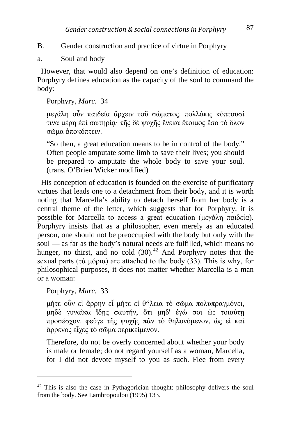## B. Gender construction and practice of virtue in Porphyry

a. Soul and body

 However, that would also depend on one's definition of education: Porphyry defines education as the capacity of the soul to command the body:

Porphyry, *Marc.* 34

μεγάλη οὖν παιδεία ἄρχειν τοῦ σώματος. πολλάκις κόπτουσί τινα μέρη ἐπὶ σωτηρίᾳ· τῆς δὲ ψυχῆς ἕνεκα ἕτοιμος ἔσο τὸ ὅλον σῶμα ἀποκόπτειν.

"So then, a great education means to be in control of the body." Often people amputate some limb to save their lives; you should be prepared to amputate the whole body to save your soul. (trans. O'Brien Wicker modified)

 His conception of education is founded on the exercise of purificatory virtues that leads one to a detachment from their body, and it is worth noting that Marcella's ability to detach herself from her body is a central theme of the letter, which suggests that for Porphyry, it is possible for Marcella to access a great education (μεγάλη παιδεία). Porphyry insists that as a philosopher, even merely as an educated person, one should not be preoccupied with the body but only with the soul — as far as the body's natural needs are fulfilled, which means no hunger, no thirst, and no cold  $(30)^{42}$  $(30)^{42}$  $(30)^{42}$  And Porphyry notes that the sexual parts (τὰ μόρια) are attached to the body (33). This is why, for philosophical purposes, it does not matter whether Marcella is a man or a woman:

Porphyry, *Marc.* 33

i,

μήτε οὖν εἰ ἄρρην εἶ μήτε εἰ θήλεια τὸ σῶμα πολυπραγμόνει, μηδὲ γυναῖκα ἴδῃς σαυτήν, ὅτι μηδ' ἐγώ σοι ὡς τοιαύτῃ προσέσχον. φεῦγε τῆς ψυχῆς πᾶν τὸ θηλυνόμενον, ὡς εἰ καὶ ἄρρενος εἶχες τὸ σῶμα περικείμενον.

Therefore, do not be overly concerned about whether your body is male or female; do not regard yourself as a woman, Marcella, for I did not devote myself to you as such. Flee from every

<span id="page-11-0"></span> $42$  This is also the case in Pythagorician thought: philosophy delivers the soul from the body. See Lambropoulou (1995) 133.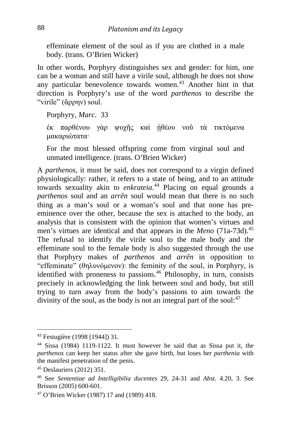effeminate element of the soul as if you are clothed in a male body. (trans. O'Brien Wicker)

In other words, Porphyry distinguishes sex and gender: for him, one can be a woman and still have a virile soul, although he does not show any particular benevolence towards women. $43$  Another hint in that direction is Porphyry's use of the word *parthenos* to describe the "virile" (ἄρρην) soul.

Porphyry, *Marc.* 33

ἐκ παρθένου γὰρ ψυχῆς καὶ ᾐθέου νοῦ τὰ τικτόμενα μακαριώτατα·

For the most blessed offspring come from virginal soul and unmated intelligence. (trans. O'Brien Wicker)

A *parthenos*, it must be said, does not correspond to a virgin defined physiologically: rather, it refers to a state of being, and to an attitude towards sexuality akin to *enkrateia.*[44](#page-12-1) Placing on equal grounds a *parthenos* soul and an *arrên* soul would mean that there is no such thing as a man's soul or a woman's soul and that none has preeminence over the other, because the sex is attached to the body, an analysis that is consistent with the opinion that women's virtues and men's virtues are identical and that appears in the *Meno* (71a-73d).<sup>[45](#page-12-2)</sup> The refusal to identify the virile soul to the male body and the effeminate soul to the female body is also suggested through the use that Porphyry makes of *parthenos* and *arrên* in opposition to "effeminate" (θηλυνόμενον): the feminity of the soul, in Porphyry, is identified with proneness to passions.[46](#page-12-3) Philosophy, in turn, consists precisely in acknowledging the link between soul and body, but still trying to turn away from the body's passions to aim towards the divinity of the soul, as the body is not an integral part of the soul:  $47$ 

<span id="page-12-0"></span><sup>43</sup> Festugière (1998 [1944]) 31.

<span id="page-12-1"></span><sup>44</sup> Sissa (1984) 1119-1122. It must however be said that as Sissa put it, the *parthenos* can keep her status after she gave birth, but loses her *parthenia* with the manifest penetration of the penis.

<span id="page-12-2"></span><sup>45</sup> Deslauriers (2012) 351.

<span id="page-12-3"></span><sup>46</sup> See *Sententiae ad Intelligibilia ducentes* 29, 24-31 and *Abst.* 4.20, 3. See Brisson (2005) 600-601.

<span id="page-12-4"></span><sup>47</sup> O'Brien Wicker (1987) 17 and (1989) 418.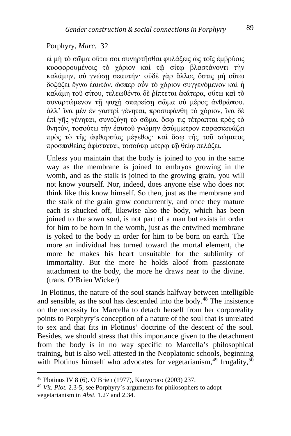#### Porphyry, *Marc.* 32

εἰ μὴ τὸ σῶμα οὕτω σοι συνηρτῆσθαι φυλάξεις ὡς τοῖς ἐμβρύοις κυοφορουμένοις τὸ χόριον καὶ τῷ σίτῳ βλαστάνοντι τὴν καλάμην, οὐ γνώσῃ σεαυτήν· οὐδὲ γὰρ ἄλλος ὅστις μὴ οὕτω δοξάζει ἔγνω ἑαυτόν. ὥσπερ οὖν τὸ χόριον συγγενόμενον καὶ ἡ καλάμη τοῦ σίτου, τελεωθέντα δὲ ῥίπτεται ἑκάτερα, οὕτω καὶ τὸ συναρτώμενον τῇ ψυχῇ σπαρείσῃ σῶμα οὐ μέρος ἀνθρώπου. ἀλλ' ἵνα μὲν ἐν γαστρὶ γένηται, προσυφάνθη τὸ χόριον, ἵνα δὲ ἐπὶ γῆς γένηται, συνεζύγη τὸ σῶμα. ὅσῳ τις τέτραπται πρὸς τὸ θνητόν, τοσούτῳ τὴν ἑαυτοῦ γνώμην ἀσύμμετρον παρασκευάζει πρὸς τὸ τῆς ἀφθαρσίας μέγεθος· καὶ ὅσῳ τῆς τοῦ σώματος προσπαθείας ἀφίσταται, τοσούτῳ μέτρῳ τῷ θείῳ πελάζει.

Unless you maintain that the body is joined to you in the same way as the membrane is joined to embryos growing in the womb, and as the stalk is joined to the growing grain, you will not know yourself. Nor, indeed, does anyone else who does not think like this know himself. So then, just as the membrane and the stalk of the grain grow concurrently, and once they mature each is shucked off, likewise also the body, which has been joined to the sown soul, is not part of a man but exists in order for him to be born in the womb, just as the entwined membrane is yoked to the body in order for him to be born on earth. The more an individual has turned toward the mortal element, the more he makes his heart unsuitable for the sublimity of immortality. But the more he holds aloof from passionate attachment to the body, the more he draws near to the divine. (trans. O'Brien Wicker)

<span id="page-13-2"></span> In Plotinus, the nature of the soul stands halfway between intelligible and sensible, as the soul has descended into the body.[48](#page-13-0) The insistence on the necessity for Marcella to detach herself from her corporeality points to Porphyry's conception of a nature of the soul that is unrelated to sex and that fits in Plotinus' doctrine of the descent of the soul. Besides, we should stress that this importance given to the detachment from the body is in no way specific to Marcella's philosophical training, but is also well attested in the Neoplatonic schools, beginning with Plotinus himself who advocates for vegetarianism,  $49$  frugality,  $50$ 

<span id="page-13-0"></span><sup>48</sup> Plotinus IV 8 (6). O'Brien (1977), Kanyororo (2003) 237.

<span id="page-13-1"></span><sup>49</sup> *Vit. Plot.* 2.3-5; see Porphyry's arguments for philosophers to adopt vegetarianism in *Abst.* 1.27 and 2.34.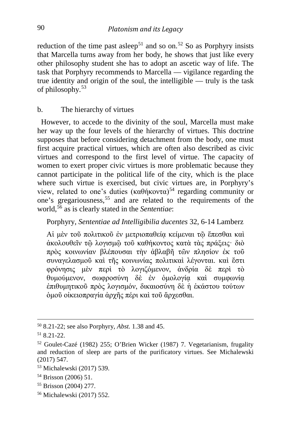reduction of the time past asleep<sup>[51](#page-14-0)</sup> and so on.<sup>[52](#page-14-1)</sup> So as Porphyry insists that Marcella turns away from her body, he shows that just like every other philosophy student she has to adopt an ascetic way of life. The task that Porphyry recommends to Marcella — vigilance regarding the true identity and origin of the soul, the intelligible — truly is the task of philosophy.[53](#page-14-2)

## b. The hierarchy of virtues

 However, to accede to the divinity of the soul, Marcella must make her way up the four levels of the hierarchy of virtues. This doctrine supposes that before considering detachment from the body, one must first acquire practical virtues, which are often also described as civic virtues and correspond to the first level of virtue. The capacity of women to exert proper civic virtues is more problematic because they cannot participate in the political life of the city, which is the place where such virtue is exercised, but civic virtues are, in Porphyry's view, related to one's duties  $(\kappa \alpha \theta \eta \kappa \nu \nu \alpha)^{54}$  $(\kappa \alpha \theta \eta \kappa \nu \nu \alpha)^{54}$  $(\kappa \alpha \theta \eta \kappa \nu \nu \alpha)^{54}$  regarding community or one's gregariousness,<sup>[55](#page-14-4)</sup> and are related to the requirements of the world,[56](#page-14-5) as is clearly stated in the *Sententiae*:

## Porphyry, *Sententiae ad Intelligibilia ducentes* 32, 6-14 Lamberz

Αἱ μὲν τοῦ πολιτικοῦ ἐν μετριοπαθείᾳ κείμεναι τῷ ἕπεσθαι καὶ ἀκολουθεῖν τῷ λογισμῷ τοῦ καθήκοντος κατὰ τὰς πράξεις· διὸ πρὸς κοινωνίαν βλέπουσαι τὴν ἀβλαβῆ τῶν πλησίον ἐκ τοῦ συναγελασμοῦ καὶ τῆς κοινωνίας πολιτικαὶ λέγονται. καὶ ἔστι φρόνησις μὲν περὶ τὸ λογιζόμενον, ἀνδρία δὲ περὶ τὸ θυμούμενον, σωφροσύνη δὲ ἐν ὁμολογίᾳ καὶ συμφωνίᾳ ἐπιθυμητικοῦ πρὸς λογισμόν, δικαιοσύνη δὲ ἡ ἑκάστου τούτων ὁμοῦ οἰκειοπραγία ἀρχῆς πέρι καὶ τοῦ ἄρχεσθαι.

- <span id="page-14-4"></span><sup>55</sup> Brisson (2004) 277.
- <span id="page-14-5"></span><sup>56</sup> Michalewski (2017) 552.

<sup>50</sup> 8.21-22; see also Porphyry, *Abst.* 1.38 and 45.

<span id="page-14-0"></span> $51, 8, 21 - 22$ .

<span id="page-14-1"></span><sup>52</sup> Goulet-Cazé (1982) 255; O'Brien Wicker (1987) 7. Vegetarianism, frugality and reduction of sleep are parts of the purificatory virtues. See Michalewski (2017) 547.

<span id="page-14-2"></span><sup>53</sup> Michalewski (2017) 539.

<span id="page-14-3"></span><sup>54</sup> Brisson (2006) 51.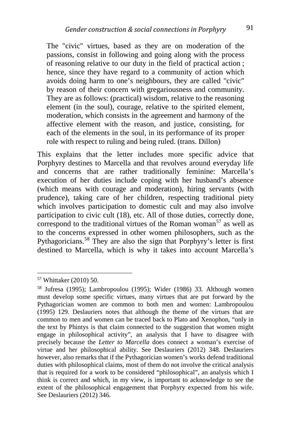The "civic" virtues, based as they are on moderation of the passions, consist in following and going along with the process of reasoning relative to our duty in the field of practical action ; hence, since they have regard to a community of action which avoids doing harm to one's neighbours, they are called "civic" by reason of their concern with gregariousness and community. They are as follows: (practical) wisdom, relative to the reasoning element (in the soul), courage, relative to the spirited element, moderation, which consists in the agreement and harmony of the affective element with the reason, and justice, consisting, for each of the elements in the soul, in its performance of its proper role with respect to ruling and being ruled. (trans. Dillon)

This explains that the letter includes more specific advice that Porphyry destines to Marcella and that revolves around everyday life and concerns that are rather traditionally feminine: Marcella's execution of her duties include coping with her husband's absence (which means with courage and moderation), hiring servants (with prudence), taking care of her children, respecting traditional piety which involves participation to domestic cult and may also involve participation to civic cult (18), etc. All of those duties, correctly done, correspond to the traditional virtues of the Roman woman<sup>[57](#page-15-0)</sup> as well as to the concerns expressed in other women philosophers, such as the Pythagoricians.<sup>[58](#page-15-1)</sup> They are also the sign that Porphyry's letter is first destined to Marcella, which is why it takes into account Marcella's

<span id="page-15-0"></span><sup>57</sup> Whittaker (2010) 50.

<span id="page-15-1"></span><sup>58</sup> Jufresa (1995); Lambropoulou (1995); Wider (1986) 33. Although women must develop some specific virtues, many virtues that are put forward by the Pythagorician women are common to both men and women: Lambropoulou (1995) 129. Deslauriers notes that although the theme of the virtues that are common to men and women can be traced back to Plato and Xenophon, "only in the text by Phintys is that claim connected to the suggestion that women might engage in philosophical activity", an analysis that I have to disagree with precisely because the *Letter to Marcella* does connect a woman's exercise of virtue and her philosophical ability. See Deslauriers (2012) 348. Deslauriers however, also remarks that if the Pythagorician women's works defend traditional duties with philosophical claims, most of them do not involve the critical analysis that is required for a work to be considered "philosophical", an analysis which I think is correct and which, in my view, is important to acknowledge to see the extent of the philosophical engagement that Porphyry expected from his wife. See Deslauriers (2012) 346.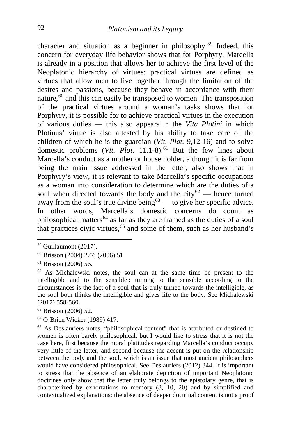character and situation as a beginner in philosophy.<sup>[59](#page-16-0)</sup> Indeed, this concern for everyday life behavior shows that for Porphyry, Marcella is already in a position that allows her to achieve the first level of the Neoplatonic hierarchy of virtues: practical virtues are defined as virtues that allow men to live together through the limitation of the desires and passions, because they behave in accordance with their nature,  $60$  and this can easily be transposed to women. The transposition of the practical virtues around a woman's tasks shows that for Porphyry, it is possible for to achieve practical virtues in the execution of various duties — this also appears in the *Vita Plotini* in which Plotinus' virtue is also attested by his ability to take care of the children of which he is the guardian (*Vit. Plot.* 9,12-16) and to solve domestic problems (*Vit. Plot.* 11.1-8).<sup>[61](#page-16-2)</sup> But the few lines about Marcella's conduct as a mother or house holder, although it is far from being the main issue addressed in the letter, also shows that in Porphyry's view, it is relevant to take Marcella's specific occupations as a woman into consideration to determine which are the duties of a soul when directed towards the body and the city<sup>[62](#page-16-3)</sup> — hence turned away from the soul's true divine being<sup>[63](#page-16-4)</sup> — to give her specific advice. In other words, Marcella's domestic concerns do count as philosophical matters<sup>[64](#page-16-5)</sup> as far as they are framed as the duties of a soul that practices civic virtues,  $65$  and some of them, such as her husband's

<span id="page-16-5"></span><sup>64</sup> O'Brien Wicker (1989) 417.

<span id="page-16-0"></span><sup>59</sup> Guillaumont (2017).

<span id="page-16-1"></span><sup>60</sup> Brisson (2004) 277; (2006) 51.

<span id="page-16-2"></span><sup>61</sup> Brisson (2006) 56.

<span id="page-16-3"></span><sup>62</sup> As Michalewski notes, the soul can at the same time be present to the intelligible and to the sensible : turning to the sensible according to the circumstances is the fact of a soul that is truly turned towards the intelligible, as the soul both thinks the intelligible and gives life to the body. See Michalewski (2017) 558-560.

<span id="page-16-4"></span><sup>63</sup> Brisson (2006) 52.

<span id="page-16-6"></span><sup>65</sup> As Deslauriers notes, "philosophical content" that is attributed or destined to women is often barely philosophical, but I would like to stress that it is not the case here, first because the moral platitudes regarding Marcella's conduct occupy very little of the letter, and second because the accent is put on the relationship between the body and the soul, which is an issue that most ancient philosophers would have considered philosophical. See Deslauriers (2012) 344. It is important to stress that the absence of an elaborate depiction of important Neoplatonic doctrines only show that the letter truly belongs to the epistolary genre, that is characterized by exhortations to memory (8, 10, 20) and by simplified and contextualized explanations: the absence of deeper doctrinal content is not a proof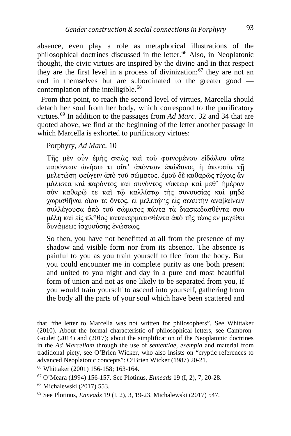absence, even play a role as metaphorical illustrations of the philosophical doctrines discussed in the letter.[66](#page-17-0) Also, in Neoplatonic thought, the civic virtues are inspired by the divine and in that respect they are the first level in a process of divinization: $67$  they are not an end in themselves but are subordinated to the greater good — contemplation of the intelligible.<sup>[68](#page-17-2)</sup>

 From that point, to reach the second level of virtues, Marcella should detach her soul from her body, which correspond to the purificatory virtues.[69](#page-17-3) In addition to the passages from *Ad Marc.* 32 and 34 that are quoted above, we find at the beginning of the letter another passage in which Marcella is exhorted to purificatory virtues:

Porphyry, *Ad Marc.* 10

Τῆς μὲν οὖν ἐμῆς σκιᾶς καὶ τοῦ φαινομένου εἰδώλου οὔτε παρόντων ὠνήσω τι οὔτ' ἀπόντων ἐπώδυνος ἡ ἀπουσία τῇ μελετώσῃ φεύγειν ἀπὸ τοῦ σώματος. ἐμοῦ δὲ καθαρῶς τύχοις ἂν μάλιστα καὶ παρόντος καὶ συνόντος νύκτωρ καὶ μεθ' ἡμέραν σὺν καθαρῷ τε καὶ τῷ καλλίστῳ τῆς συνουσίας καὶ μηδὲ χωρισθῆναι οἵου τε ὄντος, εἰ μελετῴης εἰς σεαυτὴν ἀναβαίνειν συλλέγουσα ἀπὸ τοῦ σώματος πάντα τὰ διασκεδασθέντα σου μέλη καὶ εἰς πλῆθος κατακερματισθέντα ἀπὸ τῆς τέως ἐν μεγέθει δυνάμεως ἰσχυούσης ἑνώσεως.

So then, you have not benefitted at all from the presence of my shadow and visible form nor from its absence. The absence is painful to you as you train yourself to flee from the body. But you could encounter me in complete purity as one both present and united to you night and day in a pure and most beautiful form of union and not as one likely to be separated from you, if you would train yourself to ascend into yourself, gathering from the body all the parts of your soul which have been scattered and

that "the letter to Marcella was not written for philosophers". See Whittaker (2010). About the formal characteristic of philosophical letters, see Cambron-Goulet (2014) and (2017); about the simplification of the Neoplatonic doctrines in the *Ad Marcellam* through the use of *sententiae*, *exempla* and material from traditional piety, see O'Brien Wicker, who also insists on "cryptic references to advanced Neoplatonic concepts": O'Brien Wicker (1987) 20-21.

<span id="page-17-0"></span><sup>66</sup> Whittaker (2001) 156-158; 163-164.

<span id="page-17-1"></span><sup>67</sup> O'Meara (1994) 156-157. See Plotinus, *Enneads* 19 (I, 2), 7, 20-28. 68 Michalewski (2017) 553.

<span id="page-17-2"></span>

<span id="page-17-3"></span><sup>69</sup> See Plotinus, *Enneads* 19 (I, 2), 3, 19-23. Michalewski (2017) 547.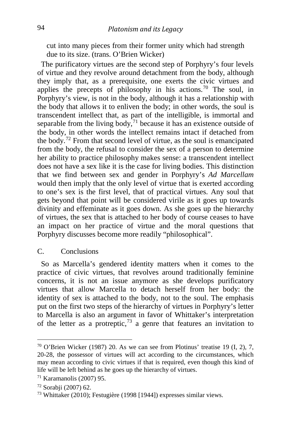cut into many pieces from their former unity which had strength due to its size. (trans. O'Brien Wicker)

 The purificatory virtues are the second step of Porphyry's four levels of virtue and they revolve around detachment from the body, although they imply that, as a prerequisite, one exerts the civic virtues and applies the precepts of philosophy in his actions.[70](#page-18-0) The soul, in Porphyry's view, is not in the body, although it has a relationship with the body that allows it to enliven the body; in other words, the soul is transcendent intellect that, as part of the intelligible, is immortal and separable from the living body, $71$  because it has an existence outside of the body, in other words the intellect remains intact if detached from the body.<sup>[72](#page-18-2)</sup> From that second level of virtue, as the soul is emancipated from the body, the refusal to consider the sex of a person to determine her ability to practice philosophy makes sense: a transcendent intellect does not have a sex like it is the case for living bodies. This distinction that we find between sex and gender in Porphyry's *Ad Marcellam* would then imply that the only level of virtue that is exerted according to one's sex is the first level, that of practical virtues. Any soul that gets beyond that point will be considered virile as it goes up towards divinity and effeminate as it goes down. As she goes up the hierarchy of virtues, the sex that is attached to her body of course ceases to have an impact on her practice of virtue and the moral questions that Porphyry discusses become more readily "philosophical".

#### C. Conclusions

 So as Marcella's gendered identity matters when it comes to the practice of civic virtues, that revolves around traditionally feminine concerns, it is not an issue anymore as she develops purificatory virtues that allow Marcella to detach herself from her body: the identity of sex is attached to the body, not to the soul. The emphasis put on the first two steps of the hierarchy of virtues in Porphyry's letter to Marcella is also an argument in favor of Whittaker's interpretation of the letter as a protreptic,  $73$  a genre that features an invitation to

<span id="page-18-0"></span> $70$  O'Brien Wicker (1987) 20. As we can see from Plotinus' treatise 19 (I, 2), 7, 20-28, the possessor of virtues will act according to the circumstances, which may mean according to civic virtues if that is required, even though this kind of life will be left behind as he goes up the hierarchy of virtues.

<span id="page-18-1"></span><sup>71</sup> Karamanolis (2007) 95.

<span id="page-18-2"></span><sup>72</sup> Sorabji (2007) 62.

<span id="page-18-3"></span><sup>73</sup> Whittaker (2010); Festugière (1998 [1944]) expresses similar views.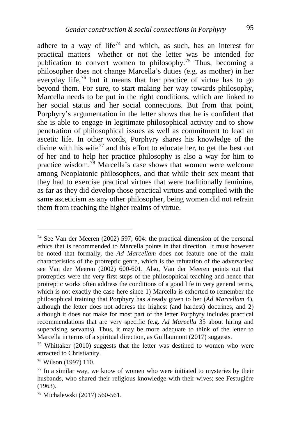adhere to a way of life<sup>[74](#page-19-0)</sup> and which, as such, has an interest for practical matters—whether or not the letter was be intended for publication to convert women to philosophy.<sup>[75](#page-19-1)</sup> Thus, becoming a philosopher does not change Marcella's duties (e.g. as mother) in her everyday life,<sup>[76](#page-19-2)</sup> but it means that her practice of virtue has to go beyond them. For sure, to start making her way towards philosophy, Marcella needs to be put in the right conditions, which are linked to her social status and her social connections. But from that point, Porphyry's argumentation in the letter shows that he is confident that she is able to engage in legitimate philosophical activity and to show penetration of philosophical issues as well as commitment to lead an ascetic life. In other words, Porphyry shares his knowledge of the divine with his wife<sup>[77](#page-19-3)</sup> and this effort to educate her, to get the best out of her and to help her practice philosophy is also a way for him to practice wisdom.[78](#page-19-4) Marcella's case shows that women were welcome among Neoplatonic philosophers, and that while their sex meant that they had to exercise practical virtues that were traditionally feminine, as far as they did develop those practical virtues and complied with the same asceticism as any other philosopher, being women did not refrain them from reaching the higher realms of virtue.

<span id="page-19-0"></span><sup>74</sup> See Van der Meeren (2002) 597; 604: the practical dimension of the personal ethics that is recommended to Marcella points in that direction. It must however be noted that formally, the *Ad Marcellam* does not feature one of the main characteristics of the protreptic genre, which is the refutation of the adversaries: see Van der Meeren (2002) 600-601. Also, Van der Meeren points out that protreptics were the very first steps of the philosophical teaching and hence that protreptic works often address the conditions of a good life in very general terms, which is not exactly the case here since 1) Marcella is exhorted to remember the philosophical training that Porphyry has already given to her (*Ad Marcellam* 4), although the letter does not address the highest (and hardest) doctrines, and 2) although it does not make for most part of the letter Porphyry includes practical recommendations that are very specific (e.g. *Ad Marcella* 35 about hiring and supervising servants). Thus, it may be more adequate to think of the letter to Marcella in terms of a spiritual direction, as Guillaumont (2017) suggests.

<span id="page-19-1"></span><sup>75</sup> Whittaker (2010) suggests that the letter was destined to women who were attracted to Christianity.

<span id="page-19-2"></span><sup>76</sup> Wilson (1997) 110.

<span id="page-19-3"></span> $77$  In a similar way, we know of women who were initiated to mysteries by their husbands, who shared their religious knowledge with their wives; see Festugière (1963).

<span id="page-19-4"></span><sup>78</sup> Michalewski (2017) 560-561.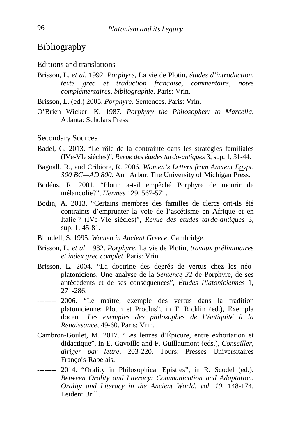# Bibliography

#### Editions and translations

Brisson, L. *et al*. 1992. *Porphyre*, La vie de Plotin, *études d'introduction, texte grec et traduction française, commentaire, notes complémentaires, bibliographie*. Paris: Vrin.

Brisson, L. (ed.) 2005. *Porphyre*. Sentences. Paris: Vrin.

O'Brien Wicker, K. 1987. *Porphyry the Philosopher: to Marcella*. Atlanta: Scholars Press.

Secondary Sources

- Badel, C. 2013. "Le rôle de la contrainte dans les stratégies familiales (IVe-VIe siècles)", *Revue des études tardo-antiques* 3, sup. 1, 31-44.
- Bagnall, R., and Cribiore, R. 2006. *Women's Letters from Ancient Egypt, 300 BC—AD 800*. Ann Arbor: The University of Michigan Press.
- Bodéüs, R. 2001. "Plotin a-t-il empêché Porphyre de mourir de mélancolie?", *Hermes* 129, 567-571.
- Bodin, A. 2013. "Certains membres des familles de clercs ont-ils été contraints d'emprunter la voie de l'ascétisme en Afrique et en Italie ? (IVe-VIe siècles)", *Revue des études tardo-antiques* 3, sup. 1, 45-81.
- Blundell, S. 1995. *Women in Ancient Greece*. Cambridge.
- Brisson, L. *et al*. 1982. *Porphyre*, La vie de Plotin, *travaux préliminaires et index grec complet*. Paris: Vrin.
- Brisson, L. 2004. "La doctrine des degrés de vertus chez les néoplatoniciens. Une analyse de la *Sentence 32* de Porphyre, de ses antécédents et de ses conséquences", *Études Platoniciennes* 1, 271-286.
- -------- 2006. "Le maître, exemple des vertus dans la tradition platonicienne: Plotin et Proclus", in T. Ricklin (ed.), Exempla docent*. Les exemples des philosophes de l'Antiquité à la Renaissance*, 49-60. Paris: Vrin.
- Cambron-Goulet, M. 2017. "Les lettres d'Épicure, entre exhortation et didactique", in E. Gavoille and F. Guillaumont (eds.), *Conseiller, diriger par lettre*, 203-220*.* Tours: Presses Universitaires François-Rabelais.
- -------- 2014. "Orality in Philosophical Epistles", in R. Scodel (ed.), *Between Orality and Literacy: Communication and Adaptation. Orality and Literacy in the Ancient World, vol. 10*, 148-174. Leiden: Brill.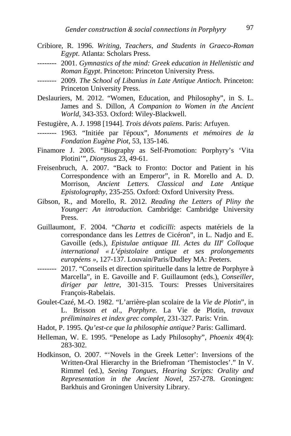- Cribiore, R. 1996. *Writing, Teachers, and Students in Graeco-Roman Egypt*. Atlanta: Scholars Press.
- -------- 2001. *Gymnastics of the mind: Greek education in Hellenistic and Roman Egypt*. Princeton: Princeton University Press.
- -------- 2009. *The School of Libanius in Late Antique Antioch*. Princeton: Princeton University Press.
- Deslauriers, M. 2012. "Women, Education, and Philosophy", in S. L. James and S. Dillon, *A Companion to Women in the Ancient World*, 343-353. Oxford: Wiley-Blackwell.
- Festugière, A. J. 1998 [1944]. *Trois dévots païens*. Paris: Arfuyen.
- -------- 1963. "Initiée par l'époux", *Monuments et mémoires de la Fondation Eugène Piot*, 53, 135-146.
- Finamore J. 2005. "Biography as Self-Promotion: Porphyry's 'Vita Plotini'", *Dionysus* 23, 49-61.
- Freisenbruch, A. 2007. "Back to Fronto: Doctor and Patient in his Correspondence with an Emperor", in R. Morello and A. D. Morrison, *Ancient Letters. Classical and Late Antique Epistolography*, 235-255. Oxford: Oxford University Press.
- Gibson, R., and Morello, R. 2012. *Reading the Letters of Pliny the Younger: An introduction.* Cambridge: Cambridge University Press.
- Guillaumont, F. 2004. "*Charta* et *codicilli*: aspects matériels de la correspondance dans les *Lettres* de Cicéron", in L. Nadjo and E. Gavoille (eds.), *Epistulae antiquae III. Actes du III<sup>e</sup> Colloque international « L'épistolaire antique et ses prolongements européens »*, 127-137. Louvain/Paris/Dudley MA: Peeters.
- -------- 2017. "Conseils et direction spirituelle dans la lettre de Porphyre à Marcella", in E. Gavoille and F. Guillaumont (eds.), *Conseiller, diriger par lettre*, 301-315*.* Tours: Presses Universitaires François-Rabelais.
- Goulet-Cazé, M.-O. 1982. "L'arrière-plan scolaire de la *Vie de Plotin*", in L. Brisson *et al*., *Porphyre.* La Vie de Plotin*, travaux préliminaires et index grec complet*, 231-327. Paris: Vrin.
- Hadot, P. 1995. *Qu'est-ce que la philosophie antique?* Paris: Gallimard.
- Helleman, W. E. 1995. "Penelope as Lady Philosophy", *Phoenix* 49(4): 283-302.
- Hodkinson, O. 2007. "'Novels in the Greek Letter': Inversions of the Written-Oral Hierarchy in the Briefroman 'Themistocles'." In V. Rimmel (ed.), *Seeing Tongues, Hearing Scripts: Orality and Representation in the Ancient Novel*, 257-278. Groningen: Barkhuis and Groningen University Library.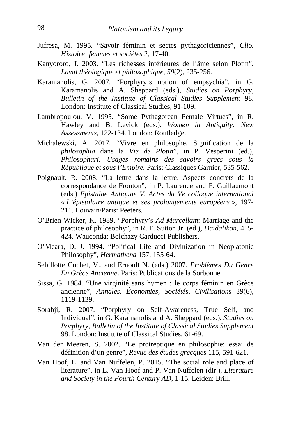- Jufresa, M. 1995. "Savoir féminin et sectes pythagoriciennes", *Clio. Histoire' femmes et sociétés* 2, 17-40.
- Kanyororo, J. 2003. "Les richesses intérieures de l'âme selon Plotin", *Laval théologique et philosophique*, *59*(2), 235-256.
- Karamanolis, G. 2007. "Porphyry's notion of empsychia", in G. Karamanolis and A. Sheppard (eds.), *Studies on Porphyry*, *Bulletin of the Institute of Classical Studies Supplement* 98. London: Institute of Classical Studies, 91-109.
- Lambropoulou, V. 1995. "Some Pythagorean Female Virtues", in R. Hawley and B. Levick (eds.), *Women in Antiquity: New Assessments*, 122-134*.* London: Routledge.
- Michalewski, A. 2017. "Vivre en philosophe. Signification de la *philosophia* dans la *Vie de Plotin*", in P. Vesperini (ed.), *Philosophari. Usages romains des savoirs grecs sous la République et sous l'Empire.* Paris: Classiques Garnier, 535-562.
- Poignault, R. 2008. "La lettre dans la lettre. Aspects concrets de la correspondance de Fronton", in P. Laurence and F. Guillaumont (eds.) *Epistulae Antiquae V*, *Actes du Ve colloque international « L'épistolaire antique et ses prolongements européens »*, 197- 211. Louvain/Paris: Peeters.
- O'Brien Wicker, K. 1989. "Porphyry's *Ad Marcellam*: Marriage and the practice of philosophy", in R. F. Sutton Jr. (ed.), *Daidalikon*, 415- 424. Wauconda: Bolchazy Carducci Publishers.
- O'Meara, D. J. 1994. "Political Life and Divinization in Neoplatonic Philosophy", *Hermathena* 157, 155-64.
- Sebillotte Cuchet, V., and Ernoult N. (eds.) 2007. *Problèmes Du Genre En Grèce Ancienne*. Paris: Publications de la Sorbonne.
- Sissa, G. 1984. "Une virginité sans hymen : le corps féminin en Grèce ancienne", *Annales. Économies, Sociétés, Civilisations* 39(6), 1119-1139.
- Sorabji, R. 2007. "Porphyry on Self-Awareness, True Self, and Individual", in G. Karamanolis and A. Sheppard (eds.), *Studies on Porphyry*, *Bulletin of the Institute of Classical Studies Supplement* 98. London: Institute of Classical Studies, 61-69.
- Van der Meeren, S. 2002. "Le protreptique en philosophie: essai de définition d'un genre", *Revue des études grecques* 115, 591-621.
- Van Hoof, L. and Van Nuffelen, P. 2015. "The social role and place of literature", in L. Van Hoof and P. Van Nuffelen (dir.), *Literature and Society in the Fourth Century AD*, 1-15. Leiden: Brill.